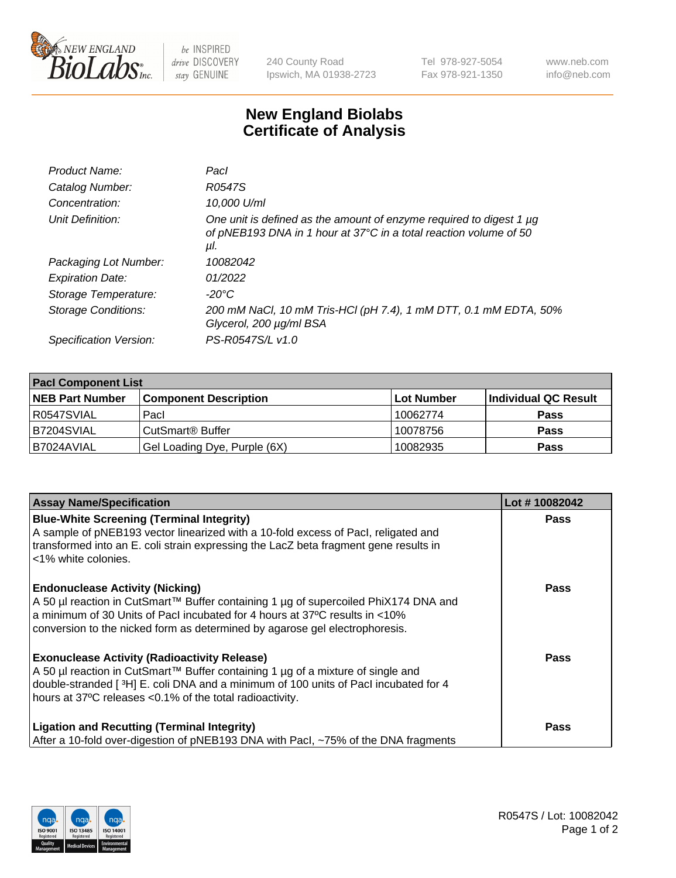

 $be$  INSPIRED drive DISCOVERY stay GENUINE

240 County Road Ipswich, MA 01938-2723 Tel 978-927-5054 Fax 978-921-1350 www.neb.com info@neb.com

## **New England Biolabs Certificate of Analysis**

| Product Name:           | Pacl                                                                                                                                            |
|-------------------------|-------------------------------------------------------------------------------------------------------------------------------------------------|
| Catalog Number:         | R0547S                                                                                                                                          |
| Concentration:          | 10,000 U/ml                                                                                                                                     |
| Unit Definition:        | One unit is defined as the amount of enzyme required to digest 1 µg<br>of pNEB193 DNA in 1 hour at 37°C in a total reaction volume of 50<br>μl. |
| Packaging Lot Number:   | 10082042                                                                                                                                        |
| <b>Expiration Date:</b> | 01/2022                                                                                                                                         |
| Storage Temperature:    | $-20^{\circ}$ C                                                                                                                                 |
| Storage Conditions:     | 200 mM NaCl, 10 mM Tris-HCl (pH 7.4), 1 mM DTT, 0.1 mM EDTA, 50%<br>Glycerol, 200 µg/ml BSA                                                     |
| Specification Version:  | PS-R0547S/L v1.0                                                                                                                                |

| <b>Pacl Component List</b> |                              |             |                      |  |  |
|----------------------------|------------------------------|-------------|----------------------|--|--|
| <b>NEB Part Number</b>     | <b>Component Description</b> | ∣Lot Number | Individual QC Result |  |  |
| R0547SVIAL                 | Pacl                         | 10062774    | <b>Pass</b>          |  |  |
| B7204SVIAL                 | CutSmart <sup>®</sup> Buffer | 10078756    | <b>Pass</b>          |  |  |
| B7024AVIAL                 | Gel Loading Dye, Purple (6X) | 10082935    | <b>Pass</b>          |  |  |

| <b>Assay Name/Specification</b>                                                                                                                                                                                                                                                             | Lot #10082042 |
|---------------------------------------------------------------------------------------------------------------------------------------------------------------------------------------------------------------------------------------------------------------------------------------------|---------------|
| <b>Blue-White Screening (Terminal Integrity)</b><br>A sample of pNEB193 vector linearized with a 10-fold excess of Pacl, religated and<br>transformed into an E. coli strain expressing the LacZ beta fragment gene results in<br><1% white colonies.                                       | <b>Pass</b>   |
| <b>Endonuclease Activity (Nicking)</b><br>A 50 µl reaction in CutSmart™ Buffer containing 1 µg of supercoiled PhiX174 DNA and<br>a minimum of 30 Units of Pacl incubated for 4 hours at 37°C results in <10%<br>conversion to the nicked form as determined by agarose gel electrophoresis. | <b>Pass</b>   |
| <b>Exonuclease Activity (Radioactivity Release)</b><br>A 50 µl reaction in CutSmart™ Buffer containing 1 µg of a mixture of single and<br>double-stranded [3H] E. coli DNA and a minimum of 100 units of Pacl incubated for 4<br>hours at 37°C releases <0.1% of the total radioactivity.   | Pass          |
| <b>Ligation and Recutting (Terminal Integrity)</b><br>After a 10-fold over-digestion of pNEB193 DNA with Pacl, ~75% of the DNA fragments                                                                                                                                                    | <b>Pass</b>   |